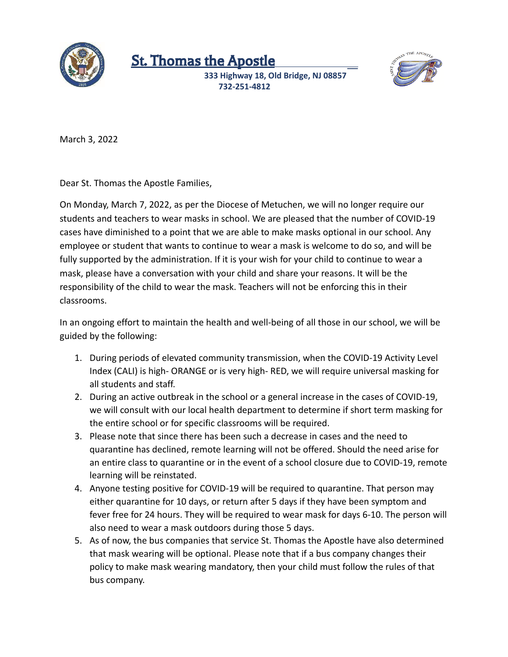

## St. Thomas the Apostle

**333 Highway 18, Old Bridge, NJ 08857 732-251-4812**



March 3, 2022

Dear St. Thomas the Apostle Families,

On Monday, March 7, 2022, as per the Diocese of Metuchen, we will no longer require our students and teachers to wear masks in school. We are pleased that the number of COVID-19 cases have diminished to a point that we are able to make masks optional in our school. Any employee or student that wants to continue to wear a mask is welcome to do so, and will be fully supported by the administration. If it is your wish for your child to continue to wear a mask, please have a conversation with your child and share your reasons. It will be the responsibility of the child to wear the mask. Teachers will not be enforcing this in their classrooms.

In an ongoing effort to maintain the health and well-being of all those in our school, we will be guided by the following:

- 1. During periods of elevated community transmission, when the COVID-19 Activity Level Index (CALI) is high- ORANGE or is very high- RED, we will require universal masking for all students and staff.
- 2. During an active outbreak in the school or a general increase in the cases of COVID-19, we will consult with our local health department to determine if short term masking for the entire school or for specific classrooms will be required.
- 3. Please note that since there has been such a decrease in cases and the need to quarantine has declined, remote learning will not be offered. Should the need arise for an entire class to quarantine or in the event of a school closure due to COVID-19, remote learning will be reinstated.
- 4. Anyone testing positive for COVID-19 will be required to quarantine. That person may either quarantine for 10 days, or return after 5 days if they have been symptom and fever free for 24 hours. They will be required to wear mask for days 6-10. The person will also need to wear a mask outdoors during those 5 days.
- 5. As of now, the bus companies that service St. Thomas the Apostle have also determined that mask wearing will be optional. Please note that if a bus company changes their policy to make mask wearing mandatory, then your child must follow the rules of that bus company.